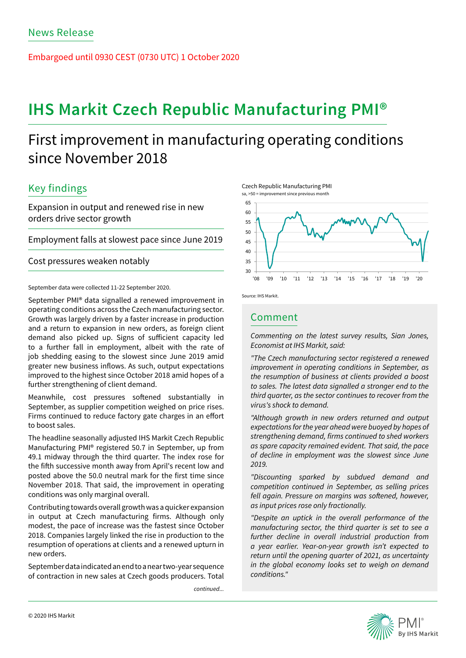Embargoed until 0930 CEST (0730 UTC) 1 October 2020

# **IHS Markit Czech Republic Manufacturing PMI®**

# First improvement in manufacturing operating conditions since November 2018

## Key findings

Expansion in output and renewed rise in new orders drive sector growth

Employment falls at slowest pace since June 2019

Cost pressures weaken notably

September data were collected 11-22 September 2020.

September PMI® data signalled a renewed improvement in operating conditions across the Czech manufacturing sector. Growth was largely driven by a faster increase in production and a return to expansion in new orders, as foreign client demand also picked up. Signs of sufficient capacity led to a further fall in employment, albeit with the rate of job shedding easing to the slowest since June 2019 amid greater new business inflows. As such, output expectations improved to the highest since October 2018 amid hopes of a further strengthening of client demand.

Meanwhile, cost pressures softened substantially in September, as supplier competition weighed on price rises. Firms continued to reduce factory gate charges in an effort to boost sales.

The headline seasonally adjusted IHS Markit Czech Republic Manufacturing PMI® registered 50.7 in September, up from 49.1 midway through the third quarter. The index rose for the fifth successive month away from April's recent low and posted above the 50.0 neutral mark for the first time since November 2018. That said, the improvement in operating conditions was only marginal overall.

Contributing towards overall growth was a quicker expansion in output at Czech manufacturing firms. Although only modest, the pace of increase was the fastest since October 2018. Companies largely linked the rise in production to the resumption of operations at clients and a renewed upturn in new orders.

September data indicated an end to a near two-year sequence of contraction in new sales at Czech goods producers. Total

*continued...*





## Comment

*Commenting on the latest survey results, Sian Jones, Economist at IHS Markit, said:* 

*"The Czech manufacturing sector registered a renewed improvement in operating conditions in September, as the resumption of business at clients provided a boost to sales. The latest data signalled a stronger end to the third quarter, as the sector continues to recover from the virus's shock to demand.*

*"Although growth in new orders returned and output expectations for the year ahead were buoyed by hopes of*  strengthening demand, firms continued to shed workers *as spare capacity remained evident. That said, the pace of decline in employment was the slowest since June 2019.* 

*"Discounting sparked by subdued demand and competition continued in September, as selling prices*  fell again. Pressure on margins was softened, however, *as input prices rose only fractionally.*

*"Despite an uptick in the overall performance of the manufacturing sector, the third quarter is set to see a further decline in overall industrial production from a year earlier. Year-on-year growth isn't expected to return until the opening quarter of 2021, as uncertainty in the global economy looks set to weigh on demand conditions."*